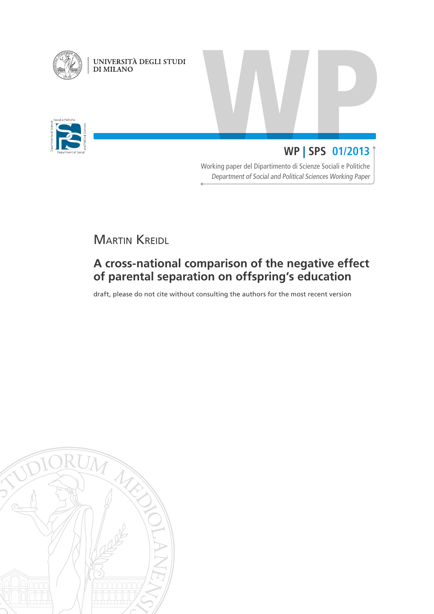

UNIVERSITÀ DEGLI STUDI<br>DI MILANO



# WP | SPS 01/2013 **WP** | **SPS 01/2013**

Working paper del Dipartimento di Scienze Sociali e Politiche Department of Social and Political Sciences Working Paper

**MARTIN KREIDL** 

# **A cross-national comparison of the negative effect of parental separation on offspring's education**

draft, please do not cite without consulting the authors for the most recent version

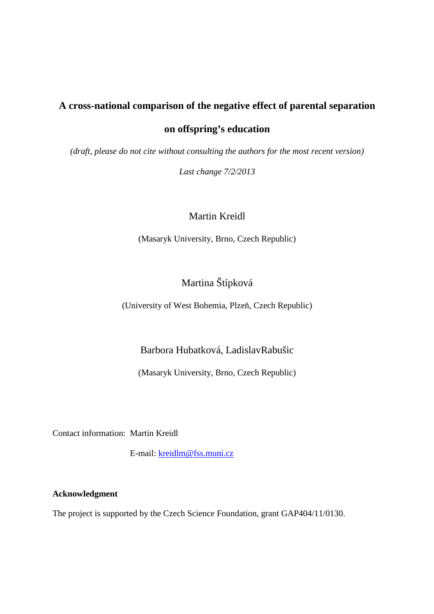# **A cross-national comparison of the negative effect of parental separation**

## **on offspring's education**

*(draft, please do not cite without consulting the authors for the most recent version)* 

*Last change 7/2/2013* 

### Martin Kreidl

(Masaryk University, Brno, Czech Republic)

## Martina Štípková

(University of West Bohemia, Plzeň, Czech Republic)

## Barbora Hubatková, LadislavRabušic

(Masaryk University, Brno, Czech Republic)

Contact information: Martin Kreidl

E-mail: kreidlm@fss.muni.cz

#### **Acknowledgment**

The project is supported by the Czech Science Foundation, grant GAP404/11/0130.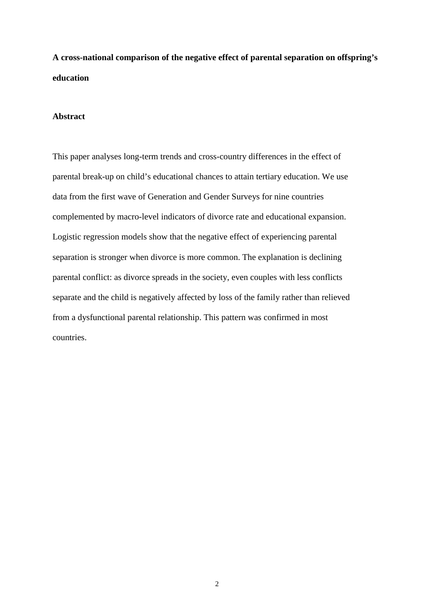**A cross-national comparison of the negative effect of parental separation on offspring's education** 

#### **Abstract**

This paper analyses long-term trends and cross-country differences in the effect of parental break-up on child's educational chances to attain tertiary education. We use data from the first wave of Generation and Gender Surveys for nine countries complemented by macro-level indicators of divorce rate and educational expansion. Logistic regression models show that the negative effect of experiencing parental separation is stronger when divorce is more common. The explanation is declining parental conflict: as divorce spreads in the society, even couples with less conflicts separate and the child is negatively affected by loss of the family rather than relieved from a dysfunctional parental relationship. This pattern was confirmed in most countries.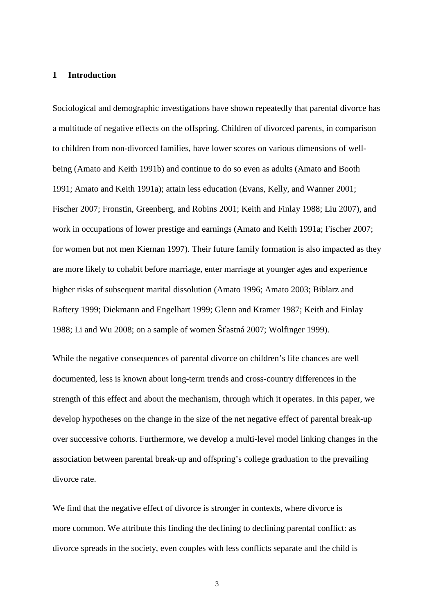#### **1 Introduction**

Sociological and demographic investigations have shown repeatedly that parental divorce has a multitude of negative effects on the offspring. Children of divorced parents, in comparison to children from non-divorced families, have lower scores on various dimensions of wellbeing (Amato and Keith 1991b) and continue to do so even as adults (Amato and Booth 1991; Amato and Keith 1991a); attain less education (Evans, Kelly, and Wanner 2001; Fischer 2007; Fronstin, Greenberg, and Robins 2001; Keith and Finlay 1988; Liu 2007), and work in occupations of lower prestige and earnings (Amato and Keith 1991a; Fischer 2007; for women but not men Kiernan 1997). Their future family formation is also impacted as they are more likely to cohabit before marriage, enter marriage at younger ages and experience higher risks of subsequent marital dissolution (Amato 1996; Amato 2003; Biblarz and Raftery 1999; Diekmann and Engelhart 1999; Glenn and Kramer 1987; Keith and Finlay 1988; Li and Wu 2008; on a sample of women Šťastná 2007; Wolfinger 1999).

While the negative consequences of parental divorce on children's life chances are well documented, less is known about long-term trends and cross-country differences in the strength of this effect and about the mechanism, through which it operates. In this paper, we develop hypotheses on the change in the size of the net negative effect of parental break-up over successive cohorts. Furthermore, we develop a multi-level model linking changes in the association between parental break-up and offspring's college graduation to the prevailing divorce rate.

We find that the negative effect of divorce is stronger in contexts, where divorce is more common. We attribute this finding the declining to declining parental conflict: as divorce spreads in the society, even couples with less conflicts separate and the child is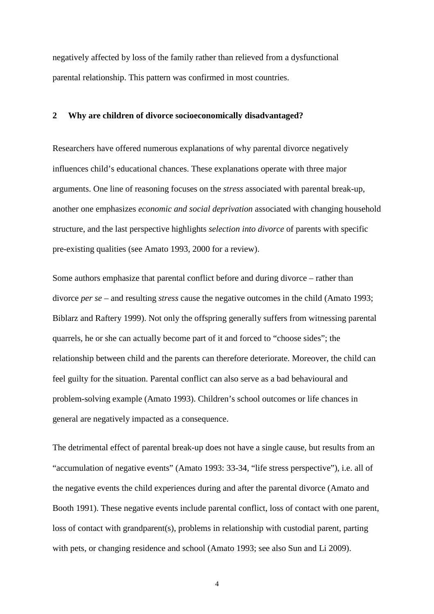negatively affected by loss of the family rather than relieved from a dysfunctional parental relationship. This pattern was confirmed in most countries.

#### **2 Why are children of divorce socioeconomically disadvantaged?**

Researchers have offered numerous explanations of why parental divorce negatively influences child's educational chances. These explanations operate with three major arguments. One line of reasoning focuses on the *stress* associated with parental break-up, another one emphasizes *economic and social deprivation* associated with changing household structure, and the last perspective highlights *selection into divorce* of parents with specific pre-existing qualities (see Amato 1993, 2000 for a review).

Some authors emphasize that parental conflict before and during divorce – rather than divorce *per se* – and resulting *stress* cause the negative outcomes in the child (Amato 1993; Biblarz and Raftery 1999). Not only the offspring generally suffers from witnessing parental quarrels, he or she can actually become part of it and forced to "choose sides"; the relationship between child and the parents can therefore deteriorate. Moreover, the child can feel guilty for the situation. Parental conflict can also serve as a bad behavioural and problem-solving example (Amato 1993). Children's school outcomes or life chances in general are negatively impacted as a consequence.

The detrimental effect of parental break-up does not have a single cause, but results from an "accumulation of negative events" (Amato 1993: 33-34, "life stress perspective"), i.e. all of the negative events the child experiences during and after the parental divorce (Amato and Booth 1991). These negative events include parental conflict, loss of contact with one parent, loss of contact with grandparent(s), problems in relationship with custodial parent, parting with pets, or changing residence and school (Amato 1993; see also Sun and Li 2009).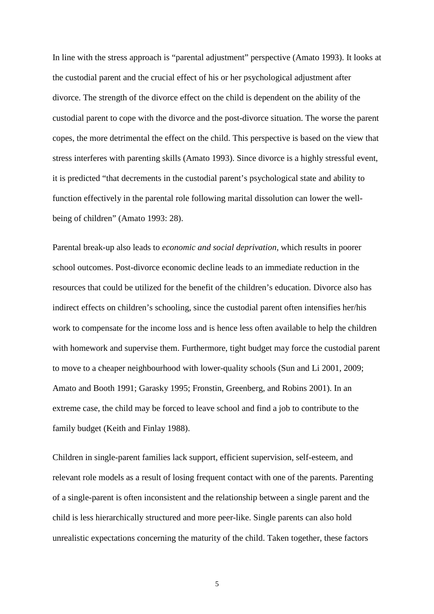In line with the stress approach is "parental adjustment" perspective (Amato 1993). It looks at the custodial parent and the crucial effect of his or her psychological adjustment after divorce. The strength of the divorce effect on the child is dependent on the ability of the custodial parent to cope with the divorce and the post-divorce situation. The worse the parent copes, the more detrimental the effect on the child. This perspective is based on the view that stress interferes with parenting skills (Amato 1993). Since divorce is a highly stressful event, it is predicted "that decrements in the custodial parent's psychological state and ability to function effectively in the parental role following marital dissolution can lower the wellbeing of children" (Amato 1993: 28).

Parental break-up also leads to *economic and social deprivation*, which results in poorer school outcomes. Post-divorce economic decline leads to an immediate reduction in the resources that could be utilized for the benefit of the children's education. Divorce also has indirect effects on children's schooling, since the custodial parent often intensifies her/his work to compensate for the income loss and is hence less often available to help the children with homework and supervise them. Furthermore, tight budget may force the custodial parent to move to a cheaper neighbourhood with lower-quality schools (Sun and Li 2001, 2009; Amato and Booth 1991; Garasky 1995; Fronstin, Greenberg, and Robins 2001). In an extreme case, the child may be forced to leave school and find a job to contribute to the family budget (Keith and Finlay 1988).

Children in single-parent families lack support, efficient supervision, self-esteem, and relevant role models as a result of losing frequent contact with one of the parents. Parenting of a single-parent is often inconsistent and the relationship between a single parent and the child is less hierarchically structured and more peer-like. Single parents can also hold unrealistic expectations concerning the maturity of the child. Taken together, these factors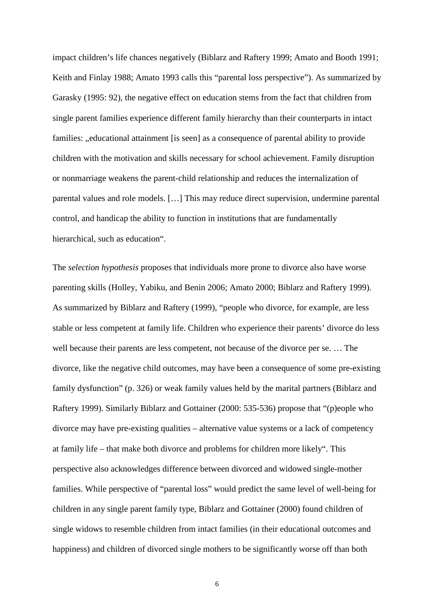impact children's life chances negatively (Biblarz and Raftery 1999; Amato and Booth 1991; Keith and Finlay 1988; Amato 1993 calls this "parental loss perspective"). As summarized by Garasky (1995: 92), the negative effect on education stems from the fact that children from single parent families experience different family hierarchy than their counterparts in intact families: "educational attainment [is seen] as a consequence of parental ability to provide children with the motivation and skills necessary for school achievement. Family disruption or nonmarriage weakens the parent-child relationship and reduces the internalization of parental values and role models. […] This may reduce direct supervision, undermine parental control, and handicap the ability to function in institutions that are fundamentally hierarchical, such as education".

The *selection hypothesis* proposes that individuals more prone to divorce also have worse parenting skills (Holley, Yabiku, and Benin 2006; Amato 2000; Biblarz and Raftery 1999). As summarized by Biblarz and Raftery (1999), "people who divorce, for example, are less stable or less competent at family life. Children who experience their parents' divorce do less well because their parents are less competent, not because of the divorce per se. … The divorce, like the negative child outcomes, may have been a consequence of some pre-existing family dysfunction" (p. 326) or weak family values held by the marital partners (Biblarz and Raftery 1999). Similarly Biblarz and Gottainer (2000: 535-536) propose that "(p)eople who divorce may have pre-existing qualities – alternative value systems or a lack of competency at family life – that make both divorce and problems for children more likely". This perspective also acknowledges difference between divorced and widowed single-mother families. While perspective of "parental loss" would predict the same level of well-being for children in any single parent family type, Biblarz and Gottainer (2000) found children of single widows to resemble children from intact families (in their educational outcomes and happiness) and children of divorced single mothers to be significantly worse off than both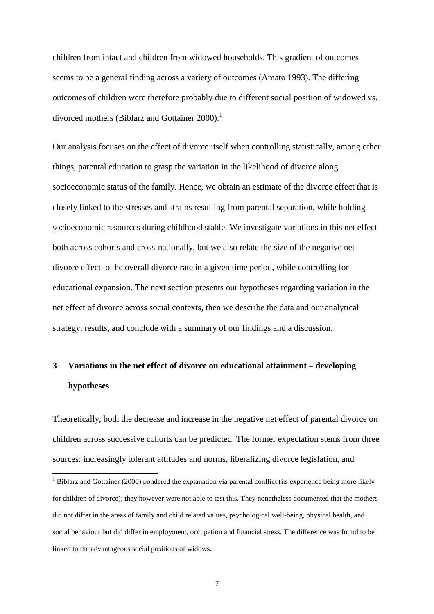children from intact and children from widowed households. This gradient of outcomes seems to be a general finding across a variety of outcomes (Amato 1993). The differing outcomes of children were therefore probably due to different social position of widowed vs. divorced mothers (Biblarz and Gottainer  $2000$ ).<sup>1</sup>

Our analysis focuses on the effect of divorce itself when controlling statistically, among other things, parental education to grasp the variation in the likelihood of divorce along socioeconomic status of the family. Hence, we obtain an estimate of the divorce effect that is closely linked to the stresses and strains resulting from parental separation, while holding socioeconomic resources during childhood stable. We investigate variations in this net effect both across cohorts and cross-nationally, but we also relate the size of the negative net divorce effect to the overall divorce rate in a given time period, while controlling for educational expansion. The next section presents our hypotheses regarding variation in the net effect of divorce across social contexts, then we describe the data and our analytical strategy, results, and conclude with a summary of our findings and a discussion.

# **3 Variations in the net effect of divorce on educational attainment – developing hypotheses**

Theoretically, both the decrease and increase in the negative net effect of parental divorce on children across successive cohorts can be predicted. The former expectation stems from three sources: increasingly tolerant attitudes and norms, liberalizing divorce legislation, and

 $\overline{a}$ 

 $1$  Biblarz and Gottainer (2000) pondered the explanation via parental conflict (its experience being more likely for children of divorce); they however were not able to test this. They nonetheless documented that the mothers did not differ in the areas of family and child related values, psychological well-being, physical health, and social behaviour but did differ in employment, occupation and financial stress. The difference was found to be linked to the advantageous social positions of widows.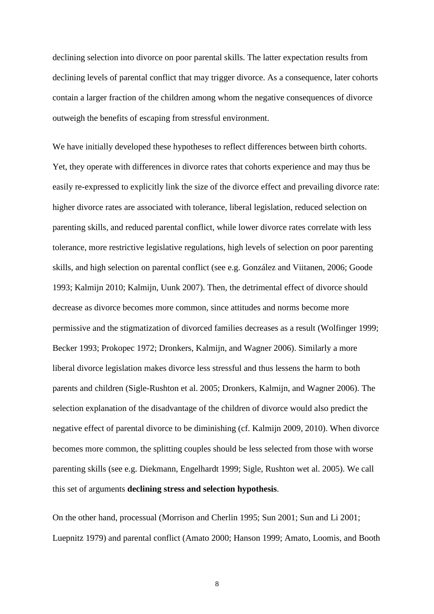declining selection into divorce on poor parental skills. The latter expectation results from declining levels of parental conflict that may trigger divorce. As a consequence, later cohorts contain a larger fraction of the children among whom the negative consequences of divorce outweigh the benefits of escaping from stressful environment.

We have initially developed these hypotheses to reflect differences between birth cohorts. Yet, they operate with differences in divorce rates that cohorts experience and may thus be easily re-expressed to explicitly link the size of the divorce effect and prevailing divorce rate: higher divorce rates are associated with tolerance, liberal legislation, reduced selection on parenting skills, and reduced parental conflict, while lower divorce rates correlate with less tolerance, more restrictive legislative regulations, high levels of selection on poor parenting skills, and high selection on parental conflict (see e.g. González and Viitanen, 2006; Goode 1993; Kalmijn 2010; Kalmijn, Uunk 2007). Then, the detrimental effect of divorce should decrease as divorce becomes more common, since attitudes and norms become more permissive and the stigmatization of divorced families decreases as a result (Wolfinger 1999; Becker 1993; Prokopec 1972; Dronkers, Kalmijn, and Wagner 2006). Similarly a more liberal divorce legislation makes divorce less stressful and thus lessens the harm to both parents and children (Sigle-Rushton et al. 2005; Dronkers, Kalmijn, and Wagner 2006). The selection explanation of the disadvantage of the children of divorce would also predict the negative effect of parental divorce to be diminishing (cf. Kalmijn 2009, 2010). When divorce becomes more common, the splitting couples should be less selected from those with worse parenting skills (see e.g. Diekmann, Engelhardt 1999; Sigle, Rushton wet al. 2005). We call this set of arguments **declining stress and selection hypothesis**.

On the other hand, processual (Morrison and Cherlin 1995; Sun 2001; Sun and Li 2001; Luepnitz 1979) and parental conflict (Amato 2000; Hanson 1999; Amato, Loomis, and Booth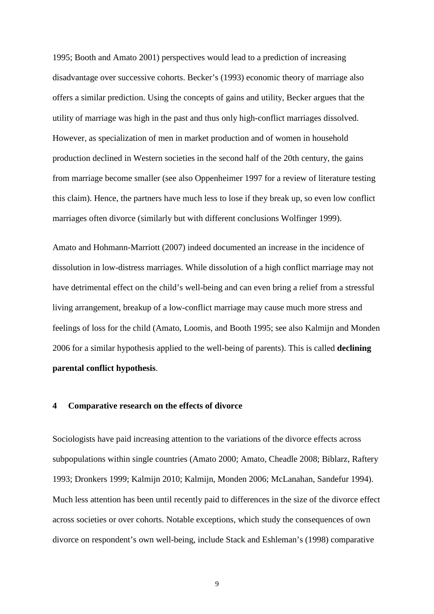1995; Booth and Amato 2001) perspectives would lead to a prediction of increasing disadvantage over successive cohorts. Becker's (1993) economic theory of marriage also offers a similar prediction. Using the concepts of gains and utility, Becker argues that the utility of marriage was high in the past and thus only high-conflict marriages dissolved. However, as specialization of men in market production and of women in household production declined in Western societies in the second half of the 20th century, the gains from marriage become smaller (see also Oppenheimer 1997 for a review of literature testing this claim). Hence, the partners have much less to lose if they break up, so even low conflict marriages often divorce (similarly but with different conclusions Wolfinger 1999).

Amato and Hohmann-Marriott (2007) indeed documented an increase in the incidence of dissolution in low-distress marriages. While dissolution of a high conflict marriage may not have detrimental effect on the child's well-being and can even bring a relief from a stressful living arrangement, breakup of a low-conflict marriage may cause much more stress and feelings of loss for the child (Amato, Loomis, and Booth 1995; see also Kalmijn and Monden 2006 for a similar hypothesis applied to the well-being of parents). This is called **declining parental conflict hypothesis**.

#### **4 Comparative research on the effects of divorce**

Sociologists have paid increasing attention to the variations of the divorce effects across subpopulations within single countries (Amato 2000; Amato, Cheadle 2008; Biblarz, Raftery 1993; Dronkers 1999; Kalmijn 2010; Kalmijn, Monden 2006; McLanahan, Sandefur 1994). Much less attention has been until recently paid to differences in the size of the divorce effect across societies or over cohorts. Notable exceptions, which study the consequences of own divorce on respondent's own well-being, include Stack and Eshleman's (1998) comparative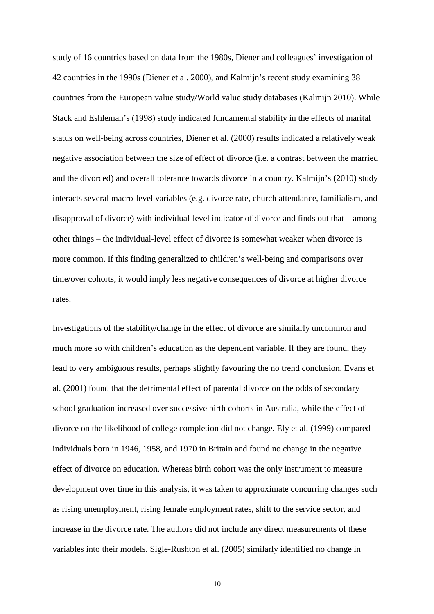study of 16 countries based on data from the 1980s, Diener and colleagues' investigation of 42 countries in the 1990s (Diener et al. 2000), and Kalmijn's recent study examining 38 countries from the European value study/World value study databases (Kalmijn 2010). While Stack and Eshleman's (1998) study indicated fundamental stability in the effects of marital status on well-being across countries, Diener et al. (2000) results indicated a relatively weak negative association between the size of effect of divorce (i.e. a contrast between the married and the divorced) and overall tolerance towards divorce in a country. Kalmijn's (2010) study interacts several macro-level variables (e.g. divorce rate, church attendance, familialism, and disapproval of divorce) with individual-level indicator of divorce and finds out that – among other things – the individual-level effect of divorce is somewhat weaker when divorce is more common. If this finding generalized to children's well-being and comparisons over time/over cohorts, it would imply less negative consequences of divorce at higher divorce rates.

Investigations of the stability/change in the effect of divorce are similarly uncommon and much more so with children's education as the dependent variable. If they are found, they lead to very ambiguous results, perhaps slightly favouring the no trend conclusion. Evans et al. (2001) found that the detrimental effect of parental divorce on the odds of secondary school graduation increased over successive birth cohorts in Australia, while the effect of divorce on the likelihood of college completion did not change. Ely et al. (1999) compared individuals born in 1946, 1958, and 1970 in Britain and found no change in the negative effect of divorce on education. Whereas birth cohort was the only instrument to measure development over time in this analysis, it was taken to approximate concurring changes such as rising unemployment, rising female employment rates, shift to the service sector, and increase in the divorce rate. The authors did not include any direct measurements of these variables into their models. Sigle-Rushton et al. (2005) similarly identified no change in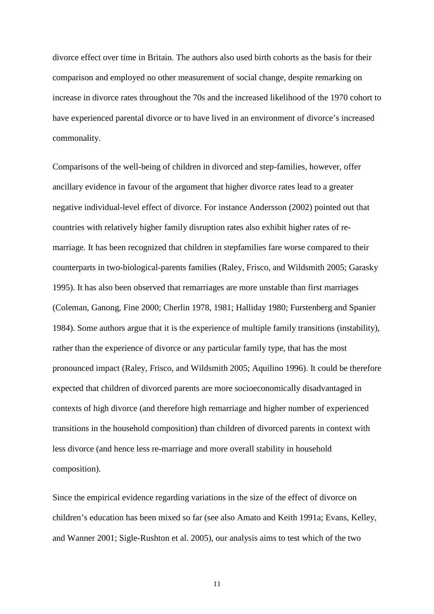divorce effect over time in Britain. The authors also used birth cohorts as the basis for their comparison and employed no other measurement of social change, despite remarking on increase in divorce rates throughout the 70s and the increased likelihood of the 1970 cohort to have experienced parental divorce or to have lived in an environment of divorce's increased commonality.

Comparisons of the well-being of children in divorced and step-families, however, offer ancillary evidence in favour of the argument that higher divorce rates lead to a greater negative individual-level effect of divorce. For instance Andersson (2002) pointed out that countries with relatively higher family disruption rates also exhibit higher rates of remarriage. It has been recognized that children in stepfamilies fare worse compared to their counterparts in two-biological-parents families (Raley, Frisco, and Wildsmith 2005; Garasky 1995). It has also been observed that remarriages are more unstable than first marriages (Coleman, Ganong, Fine 2000; Cherlin 1978, 1981; Halliday 1980; Furstenberg and Spanier 1984). Some authors argue that it is the experience of multiple family transitions (instability), rather than the experience of divorce or any particular family type, that has the most pronounced impact (Raley, Frisco, and Wildsmith 2005; Aquilino 1996). It could be therefore expected that children of divorced parents are more socioeconomically disadvantaged in contexts of high divorce (and therefore high remarriage and higher number of experienced transitions in the household composition) than children of divorced parents in context with less divorce (and hence less re-marriage and more overall stability in household composition).

Since the empirical evidence regarding variations in the size of the effect of divorce on children's education has been mixed so far (see also Amato and Keith 1991a; Evans, Kelley, and Wanner 2001; Sigle-Rushton et al. 2005), our analysis aims to test which of the two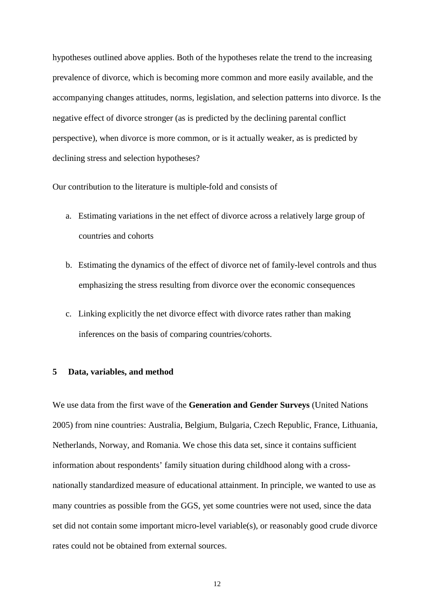hypotheses outlined above applies. Both of the hypotheses relate the trend to the increasing prevalence of divorce, which is becoming more common and more easily available, and the accompanying changes attitudes, norms, legislation, and selection patterns into divorce. Is the negative effect of divorce stronger (as is predicted by the declining parental conflict perspective), when divorce is more common, or is it actually weaker, as is predicted by declining stress and selection hypotheses?

Our contribution to the literature is multiple-fold and consists of

- a. Estimating variations in the net effect of divorce across a relatively large group of countries and cohorts
- b. Estimating the dynamics of the effect of divorce net of family-level controls and thus emphasizing the stress resulting from divorce over the economic consequences
- c. Linking explicitly the net divorce effect with divorce rates rather than making inferences on the basis of comparing countries/cohorts.

#### **5 Data, variables, and method**

We use data from the first wave of the **Generation and Gender Surveys** (United Nations 2005) from nine countries: Australia, Belgium, Bulgaria, Czech Republic, France, Lithuania, Netherlands, Norway, and Romania. We chose this data set, since it contains sufficient information about respondents' family situation during childhood along with a crossnationally standardized measure of educational attainment. In principle, we wanted to use as many countries as possible from the GGS, yet some countries were not used, since the data set did not contain some important micro-level variable(s), or reasonably good crude divorce rates could not be obtained from external sources.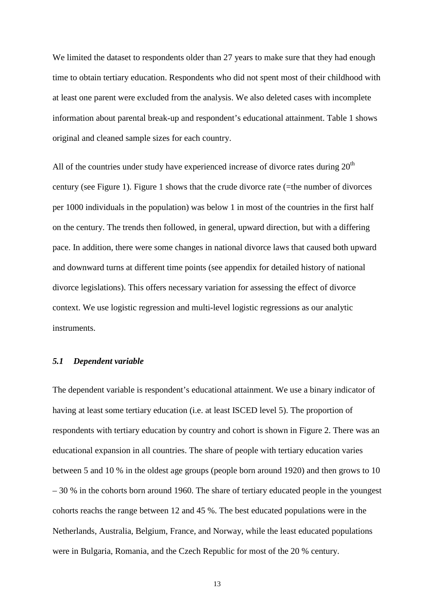We limited the dataset to respondents older than 27 years to make sure that they had enough time to obtain tertiary education. Respondents who did not spent most of their childhood with at least one parent were excluded from the analysis. We also deleted cases with incomplete information about parental break-up and respondent's educational attainment. Table 1 shows original and cleaned sample sizes for each country.

All of the countries under study have experienced increase of divorce rates during  $20<sup>th</sup>$ century (see Figure 1). Figure 1 shows that the crude divorce rate (=the number of divorces per 1000 individuals in the population) was below 1 in most of the countries in the first half on the century. The trends then followed, in general, upward direction, but with a differing pace. In addition, there were some changes in national divorce laws that caused both upward and downward turns at different time points (see appendix for detailed history of national divorce legislations). This offers necessary variation for assessing the effect of divorce context. We use logistic regression and multi-level logistic regressions as our analytic instruments.

#### *5.1 Dependent variable*

The dependent variable is respondent's educational attainment. We use a binary indicator of having at least some tertiary education (i.e. at least ISCED level 5). The proportion of respondents with tertiary education by country and cohort is shown in Figure 2. There was an educational expansion in all countries. The share of people with tertiary education varies between 5 and 10 % in the oldest age groups (people born around 1920) and then grows to 10 – 30 % in the cohorts born around 1960. The share of tertiary educated people in the youngest cohorts reachs the range between 12 and 45 %. The best educated populations were in the Netherlands, Australia, Belgium, France, and Norway, while the least educated populations were in Bulgaria, Romania, and the Czech Republic for most of the 20 % century.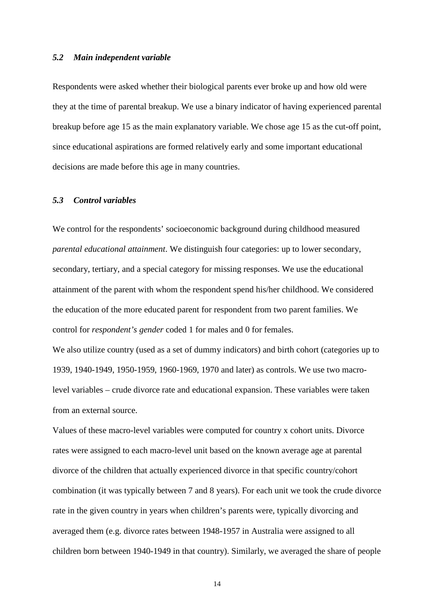#### *5.2 Main independent variable*

Respondents were asked whether their biological parents ever broke up and how old were they at the time of parental breakup. We use a binary indicator of having experienced parental breakup before age 15 as the main explanatory variable. We chose age 15 as the cut-off point, since educational aspirations are formed relatively early and some important educational decisions are made before this age in many countries.

#### *5.3 Control variables*

We control for the respondents' socioeconomic background during childhood measured *parental educational attainment*. We distinguish four categories: up to lower secondary, secondary, tertiary, and a special category for missing responses. We use the educational attainment of the parent with whom the respondent spend his/her childhood. We considered the education of the more educated parent for respondent from two parent families. We control for *respondent's gender* coded 1 for males and 0 for females.

We also utilize country (used as a set of dummy indicators) and birth cohort (categories up to 1939, 1940-1949, 1950-1959, 1960-1969, 1970 and later) as controls. We use two macrolevel variables – crude divorce rate and educational expansion. These variables were taken from an external source.

Values of these macro-level variables were computed for country x cohort units. Divorce rates were assigned to each macro-level unit based on the known average age at parental divorce of the children that actually experienced divorce in that specific country/cohort combination (it was typically between 7 and 8 years). For each unit we took the crude divorce rate in the given country in years when children's parents were, typically divorcing and averaged them (e.g. divorce rates between 1948-1957 in Australia were assigned to all children born between 1940-1949 in that country). Similarly, we averaged the share of people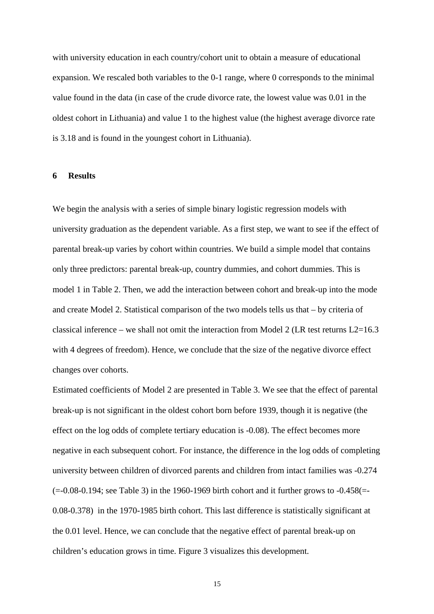with university education in each country/cohort unit to obtain a measure of educational expansion. We rescaled both variables to the 0-1 range, where 0 corresponds to the minimal value found in the data (in case of the crude divorce rate, the lowest value was 0.01 in the oldest cohort in Lithuania) and value 1 to the highest value (the highest average divorce rate is 3.18 and is found in the youngest cohort in Lithuania).

#### **6 Results**

We begin the analysis with a series of simple binary logistic regression models with university graduation as the dependent variable. As a first step, we want to see if the effect of parental break-up varies by cohort within countries. We build a simple model that contains only three predictors: parental break-up, country dummies, and cohort dummies. This is model 1 in Table 2. Then, we add the interaction between cohort and break-up into the mode and create Model 2. Statistical comparison of the two models tells us that – by criteria of classical inference – we shall not omit the interaction from Model 2 (LR test returns  $L2=16.3$ ) with 4 degrees of freedom). Hence, we conclude that the size of the negative divorce effect changes over cohorts.

Estimated coefficients of Model 2 are presented in Table 3. We see that the effect of parental break-up is not significant in the oldest cohort born before 1939, though it is negative (the effect on the log odds of complete tertiary education is -0.08). The effect becomes more negative in each subsequent cohort. For instance, the difference in the log odds of completing university between children of divorced parents and children from intact families was -0.274  $(=0.08-0.194$ ; see Table 3) in the 1960-1969 birth cohort and it further grows to  $-0.458$ ( $=$ 0.08-0.378) in the 1970-1985 birth cohort. This last difference is statistically significant at the 0.01 level. Hence, we can conclude that the negative effect of parental break-up on children's education grows in time. Figure 3 visualizes this development.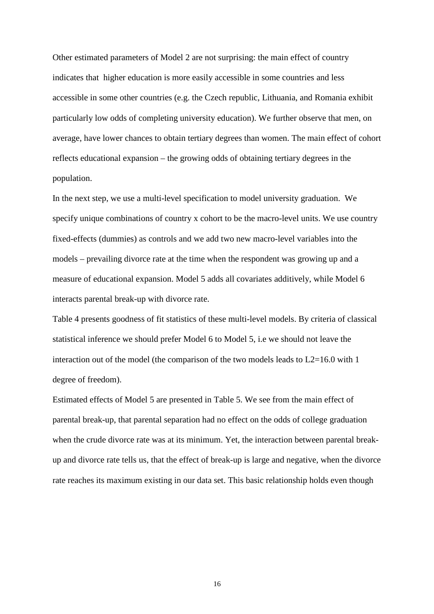Other estimated parameters of Model 2 are not surprising: the main effect of country indicates that higher education is more easily accessible in some countries and less accessible in some other countries (e.g. the Czech republic, Lithuania, and Romania exhibit particularly low odds of completing university education). We further observe that men, on average, have lower chances to obtain tertiary degrees than women. The main effect of cohort reflects educational expansion – the growing odds of obtaining tertiary degrees in the population.

In the next step, we use a multi-level specification to model university graduation. We specify unique combinations of country x cohort to be the macro-level units. We use country fixed-effects (dummies) as controls and we add two new macro-level variables into the models – prevailing divorce rate at the time when the respondent was growing up and a measure of educational expansion. Model 5 adds all covariates additively, while Model 6 interacts parental break-up with divorce rate.

Table 4 presents goodness of fit statistics of these multi-level models. By criteria of classical statistical inference we should prefer Model 6 to Model 5, i.e we should not leave the interaction out of the model (the comparison of the two models leads to L2=16.0 with 1 degree of freedom).

Estimated effects of Model 5 are presented in Table 5. We see from the main effect of parental break-up, that parental separation had no effect on the odds of college graduation when the crude divorce rate was at its minimum. Yet, the interaction between parental breakup and divorce rate tells us, that the effect of break-up is large and negative, when the divorce rate reaches its maximum existing in our data set. This basic relationship holds even though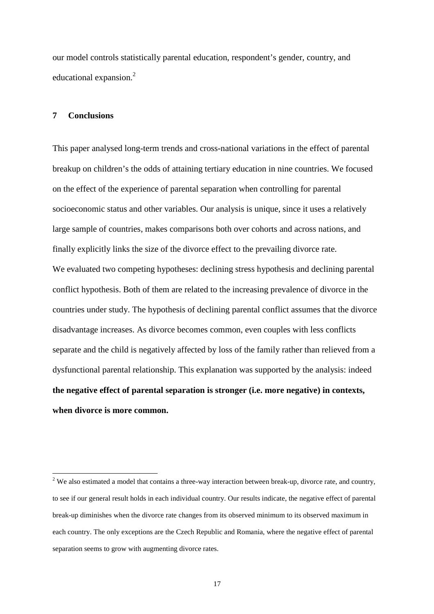our model controls statistically parental education, respondent's gender, country, and educational expansion.<sup>2</sup>

#### **7 Conclusions**

 $\overline{a}$ 

This paper analysed long-term trends and cross-national variations in the effect of parental breakup on children's the odds of attaining tertiary education in nine countries. We focused on the effect of the experience of parental separation when controlling for parental socioeconomic status and other variables. Our analysis is unique, since it uses a relatively large sample of countries, makes comparisons both over cohorts and across nations, and finally explicitly links the size of the divorce effect to the prevailing divorce rate. We evaluated two competing hypotheses: declining stress hypothesis and declining parental conflict hypothesis. Both of them are related to the increasing prevalence of divorce in the countries under study. The hypothesis of declining parental conflict assumes that the divorce disadvantage increases. As divorce becomes common, even couples with less conflicts separate and the child is negatively affected by loss of the family rather than relieved from a dysfunctional parental relationship. This explanation was supported by the analysis: indeed **the negative effect of parental separation is stronger (i.e. more negative) in contexts, when divorce is more common.**

<sup>&</sup>lt;sup>2</sup> We also estimated a model that contains a three-way interaction between break-up, divorce rate, and country, to see if our general result holds in each individual country. Our results indicate, the negative effect of parental break-up diminishes when the divorce rate changes from its observed minimum to its observed maximum in each country. The only exceptions are the Czech Republic and Romania, where the negative effect of parental separation seems to grow with augmenting divorce rates.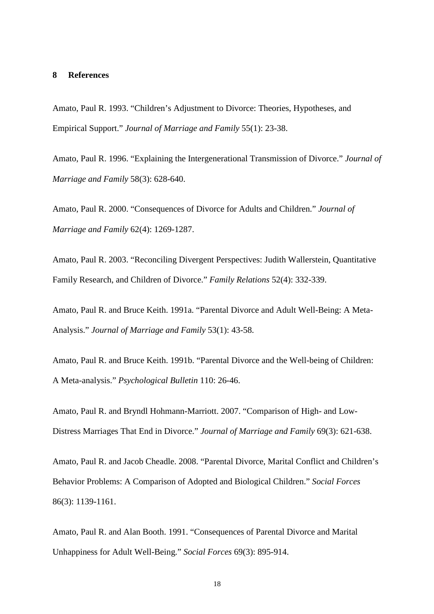#### **8 References**

Amato, Paul R. 1993. "Children's Adjustment to Divorce: Theories, Hypotheses, and Empirical Support." *Journal of Marriage and Family* 55(1): 23-38.

Amato, Paul R. 1996. "Explaining the Intergenerational Transmission of Divorce." *Journal of Marriage and Family* 58(3): 628-640.

Amato, Paul R. 2000. "Consequences of Divorce for Adults and Children." *Journal of Marriage and Family* 62(4): 1269-1287.

Amato, Paul R. 2003. "Reconciling Divergent Perspectives: Judith Wallerstein, Quantitative Family Research, and Children of Divorce." *Family Relations* 52(4): 332-339.

Amato, Paul R. and Bruce Keith. 1991a. "Parental Divorce and Adult Well-Being: A Meta-Analysis." *Journal of Marriage and Family* 53(1): 43-58.

Amato, Paul R. and Bruce Keith. 1991b. "Parental Divorce and the Well-being of Children: A Meta-analysis." *Psychological Bulletin* 110: 26-46.

Amato, Paul R. and Bryndl Hohmann-Marriott. 2007. "Comparison of High- and Low-Distress Marriages That End in Divorce." *Journal of Marriage and Family* 69(3): 621-638.

Amato, Paul R. and Jacob Cheadle. 2008. "Parental Divorce, Marital Conflict and Children's Behavior Problems: A Comparison of Adopted and Biological Children." *Social Forces*  86(3): 1139-1161.

Amato, Paul R. and Alan Booth. 1991. "Consequences of Parental Divorce and Marital Unhappiness for Adult Well-Being." *Social Forces* 69(3): 895-914.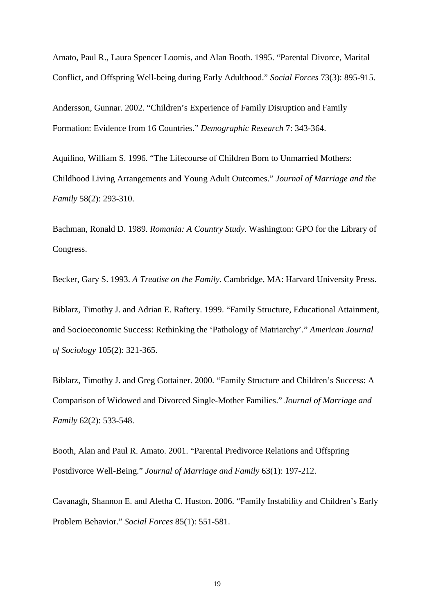Amato, Paul R., Laura Spencer Loomis, and Alan Booth. 1995. "Parental Divorce, Marital Conflict, and Offspring Well-being during Early Adulthood." *Social Forces* 73(3): 895-915.

Andersson, Gunnar. 2002. "Children's Experience of Family Disruption and Family Formation: Evidence from 16 Countries." *Demographic Research* 7: 343-364.

Aquilino, William S. 1996. "The Lifecourse of Children Born to Unmarried Mothers: Childhood Living Arrangements and Young Adult Outcomes." *Journal of Marriage and the Family* 58(2): 293-310.

Bachman, Ronald D. 1989. *Romania: A Country Study*. Washington: GPO for the Library of Congress.

Becker, Gary S. 1993. *A Treatise on the Family*. Cambridge, MA: Harvard University Press.

Biblarz, Timothy J. and Adrian E. Raftery. 1999. "Family Structure, Educational Attainment, and Socioeconomic Success: Rethinking the 'Pathology of Matriarchy'." *American Journal of Sociology* 105(2): 321-365.

Biblarz, Timothy J. and Greg Gottainer. 2000. "Family Structure and Children's Success: A Comparison of Widowed and Divorced Single-Mother Families." *Journal of Marriage and Family* 62(2): 533-548.

Booth, Alan and Paul R. Amato. 2001. "Parental Predivorce Relations and Offspring Postdivorce Well-Being." *Journal of Marriage and Family* 63(1): 197-212.

Cavanagh, Shannon E. and Aletha C. Huston. 2006. "Family Instability and Children's Early Problem Behavior." *Social Forces* 85(1): 551-581.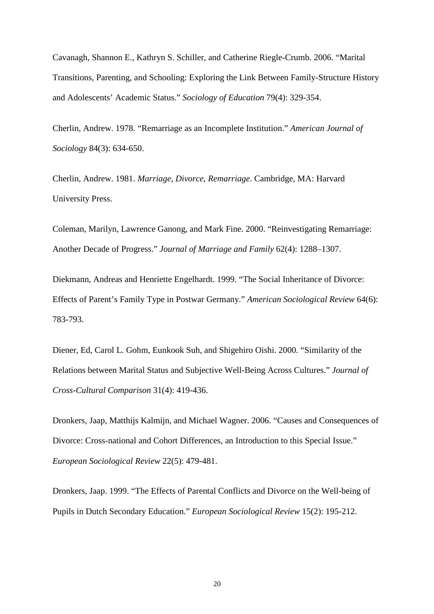Cavanagh, Shannon E., Kathryn S. Schiller, and Catherine Riegle-Crumb. 2006. "Marital Transitions, Parenting, and Schooling: Exploring the Link Between Family-Structure History and Adolescents' Academic Status." *Sociology of Education* 79(4): 329-354.

Cherlin, Andrew. 1978. "Remarriage as an Incomplete Institution." *American Journal of Sociology* 84(3): 634-650.

Cherlin, Andrew. 1981. *Marriage, Divorce, Remarriage*. Cambridge, MA: Harvard University Press.

Coleman, Marilyn, Lawrence Ganong, and Mark Fine. 2000. "Reinvestigating Remarriage: Another Decade of Progress." *Journal of Marriage and Family* 62(4): 1288–1307.

Diekmann, Andreas and Henriette Engelhardt. 1999. "The Social Inheritance of Divorce: Effects of Parent's Family Type in Postwar Germany." *American Sociological Review* 64(6): 783-793.

Diener, Ed, Carol L. Gohm, Eunkook Suh, and Shigehiro Oishi. 2000. "Similarity of the Relations between Marital Status and Subjective Well-Being Across Cultures." *Journal of Cross-Cultural Comparison* 31(4): 419-436.

Dronkers, Jaap, Matthijs Kalmijn, and Michael Wagner. 2006. "Causes and Consequences of Divorce: Cross-national and Cohort Differences, an Introduction to this Special Issue." *European Sociological Review* 22(5): 479-481.

Dronkers, Jaap. 1999. "The Effects of Parental Conflicts and Divorce on the Well-being of Pupils in Dutch Secondary Education." *European Sociological Review* 15(2): 195-212.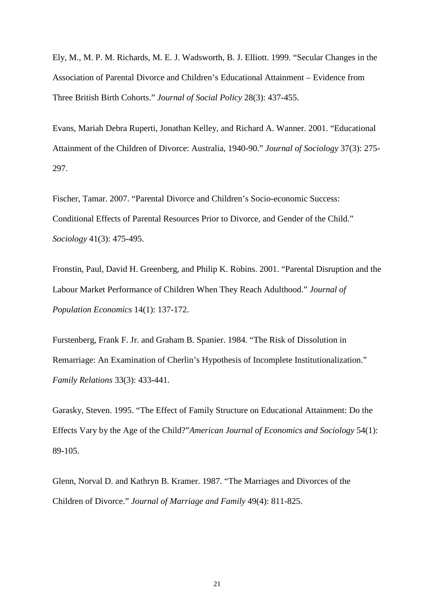Ely, M., M. P. M. Richards, M. E. J. Wadsworth, B. J. Elliott. 1999. "Secular Changes in the Association of Parental Divorce and Children's Educational Attainment – Evidence from Three British Birth Cohorts." *Journal of Social Policy* 28(3): 437-455.

Evans, Mariah Debra Ruperti, Jonathan Kelley, and Richard A. Wanner. 2001. "Educational Attainment of the Children of Divorce: Australia, 1940-90." *Journal of Sociology* 37(3): 275- 297.

Fischer, Tamar. 2007. "Parental Divorce and Children's Socio-economic Success: Conditional Effects of Parental Resources Prior to Divorce, and Gender of the Child." *Sociology* 41(3): 475-495.

Fronstin, Paul, David H. Greenberg, and Philip K. Robins. 2001. "Parental Disruption and the Labour Market Performance of Children When They Reach Adulthood." *Journal of Population Economics* 14(1): 137-172.

Furstenberg, Frank F. Jr. and Graham B. Spanier. 1984. "The Risk of Dissolution in Remarriage: An Examination of Cherlin's Hypothesis of Incomplete Institutionalization." *Family Relations* 33(3): 433-441.

Garasky, Steven. 1995. "The Effect of Family Structure on Educational Attainment: Do the Effects Vary by the Age of the Child?"*American Journal of Economics and Sociology* 54(1): 89-105.

Glenn, Norval D. and Kathryn B. Kramer. 1987. "The Marriages and Divorces of the Children of Divorce." *Journal of Marriage and Family* 49(4): 811-825.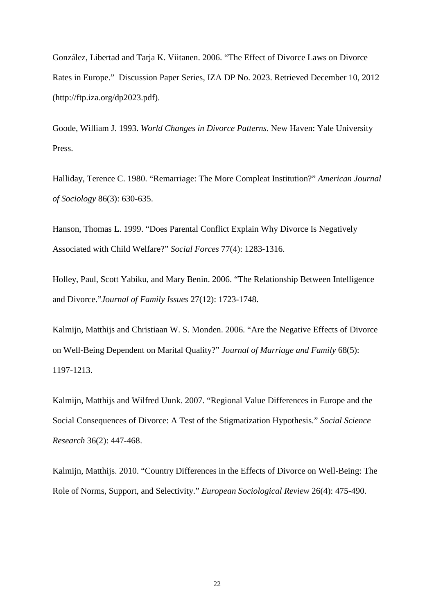González, Libertad and Tarja K. Viitanen. 2006. "The Effect of Divorce Laws on Divorce Rates in Europe." Discussion Paper Series, IZA DP No. 2023. Retrieved December 10, 2012 (http://ftp.iza.org/dp2023.pdf).

Goode, William J. 1993. *World Changes in Divorce Patterns*. New Haven: Yale University Press.

Halliday, Terence C. 1980. "Remarriage: The More Compleat Institution?" *American Journal of Sociology* 86(3): 630-635.

Hanson, Thomas L. 1999. "Does Parental Conflict Explain Why Divorce Is Negatively Associated with Child Welfare?" *Social Forces* 77(4): 1283-1316.

Holley, Paul, Scott Yabiku, and Mary Benin. 2006. "The Relationship Between Intelligence and Divorce."*Journal of Family Issues* 27(12): 1723-1748.

Kalmijn, Matthijs and Christiaan W. S. Monden. 2006. "Are the Negative Effects of Divorce on Well-Being Dependent on Marital Quality?" *Journal of Marriage and Family* 68(5): 1197-1213.

Kalmijn, Matthijs and Wilfred Uunk. 2007. "Regional Value Differences in Europe and the Social Consequences of Divorce: A Test of the Stigmatization Hypothesis." *Social Science Research* 36(2): 447-468.

Kalmijn, Matthijs. 2010. "Country Differences in the Effects of Divorce on Well-Being: The Role of Norms, Support, and Selectivity." *European Sociological Review* 26(4): 475-490.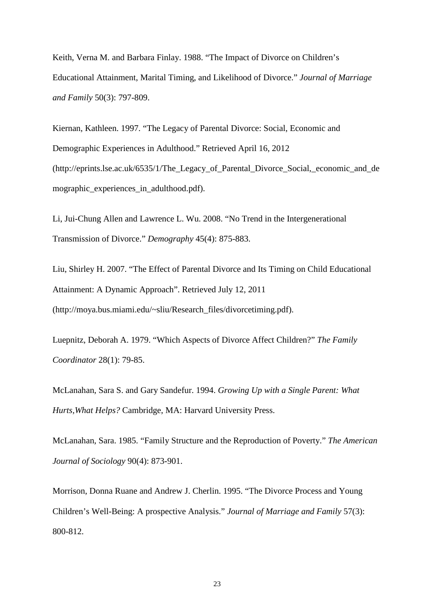Keith, Verna M. and Barbara Finlay. 1988. "The Impact of Divorce on Children's Educational Attainment, Marital Timing, and Likelihood of Divorce." *Journal of Marriage and Family* 50(3): 797-809.

Kiernan, Kathleen. 1997. "The Legacy of Parental Divorce: Social, Economic and Demographic Experiences in Adulthood." Retrieved April 16, 2012 (http://eprints.lse.ac.uk/6535/1/The\_Legacy\_of\_Parental\_Divorce\_Social,\_economic\_and\_de mographic experiences in adulthood.pdf).

Li, Jui-Chung Allen and Lawrence L. Wu. 2008. "No Trend in the Intergenerational Transmission of Divorce." *Demography* 45(4): 875-883.

Liu, Shirley H. 2007. "The Effect of Parental Divorce and Its Timing on Child Educational Attainment: A Dynamic Approach". Retrieved July 12, 2011 (http://moya.bus.miami.edu/~sliu/Research\_files/divorcetiming.pdf).

Luepnitz, Deborah A. 1979. "Which Aspects of Divorce Affect Children?" *The Family Coordinator* 28(1): 79-85.

McLanahan, Sara S. and Gary Sandefur. 1994. *Growing Up with a Single Parent: What Hurts,What Helps?* Cambridge, MA: Harvard University Press.

McLanahan, Sara. 1985. "Family Structure and the Reproduction of Poverty." *The American Journal of Sociology* 90(4): 873-901.

Morrison, Donna Ruane and Andrew J. Cherlin. 1995. "The Divorce Process and Young Children's Well-Being: A prospective Analysis." *Journal of Marriage and Family* 57(3): 800-812.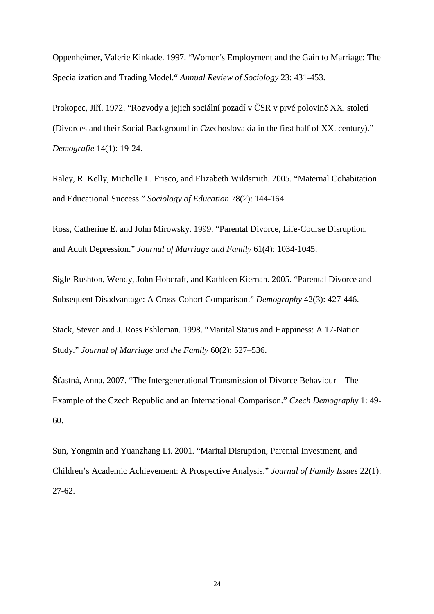Oppenheimer, Valerie Kinkade. 1997. "Women's Employment and the Gain to Marriage: The Specialization and Trading Model." *Annual Review of Sociology* 23: 431-453.

Prokopec, Jiří. 1972. "Rozvody a jejich sociální pozadí v ČSR v prvé polovině XX. století (Divorces and their Social Background in Czechoslovakia in the first half of XX. century)." *Demografie* 14(1): 19-24.

Raley, R. Kelly, Michelle L. Frisco, and Elizabeth Wildsmith. 2005. "Maternal Cohabitation and Educational Success." *Sociology of Education* 78(2): 144-164.

Ross, Catherine E. and John Mirowsky. 1999. "Parental Divorce, Life-Course Disruption, and Adult Depression." *Journal of Marriage and Family* 61(4): 1034-1045.

Sigle-Rushton, Wendy, John Hobcraft, and Kathleen Kiernan. 2005. "Parental Divorce and Subsequent Disadvantage: A Cross-Cohort Comparison." *Demography* 42(3): 427-446.

Stack, Steven and J. Ross Eshleman. 1998. "Marital Status and Happiness: A 17-Nation Study." *Journal of Marriage and the Family* 60(2): 527–536.

Šťastná, Anna. 2007. "The Intergenerational Transmission of Divorce Behaviour – The Example of the Czech Republic and an International Comparison." *Czech Demography* 1: 49- 60.

Sun, Yongmin and Yuanzhang Li. 2001. "Marital Disruption, Parental Investment, and Children's Academic Achievement: A Prospective Analysis." *Journal of Family Issues* 22(1): 27-62.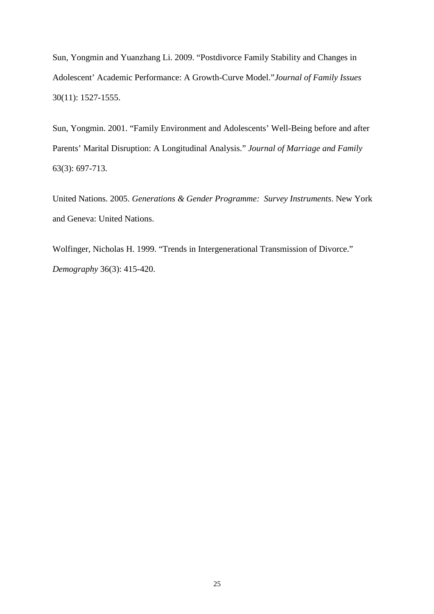Sun, Yongmin and Yuanzhang Li. 2009. "Postdivorce Family Stability and Changes in Adolescent' Academic Performance: A Growth-Curve Model."*Journal of Family Issues*  30(11): 1527-1555.

Sun, Yongmin. 2001. "Family Environment and Adolescents' Well-Being before and after Parents' Marital Disruption: A Longitudinal Analysis." *Journal of Marriage and Family* 63(3): 697-713.

United Nations. 2005. *Generations & Gender Programme: Survey Instruments*. New York and Geneva: United Nations.

Wolfinger, Nicholas H. 1999. "Trends in Intergenerational Transmission of Divorce." *Demography* 36(3): 415-420.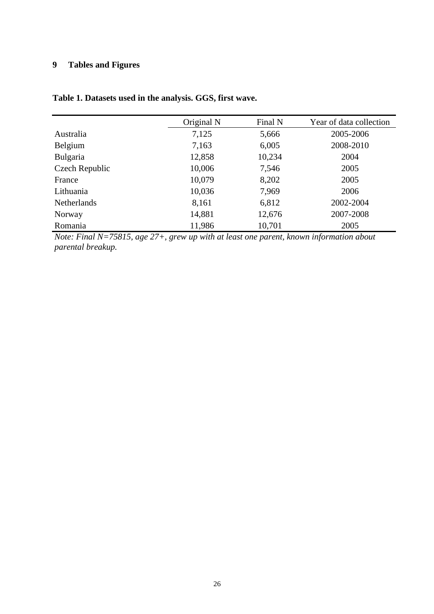## **9 Tables and Figures**

## **Table 1. Datasets used in the analysis. GGS, first wave.**

|                    | Original N | Final N | Year of data collection |
|--------------------|------------|---------|-------------------------|
| <b>Australia</b>   | 7,125      | 5,666   | 2005-2006               |
| Belgium            | 7,163      | 6,005   | 2008-2010               |
| Bulgaria           | 12,858     | 10,234  | 2004                    |
| Czech Republic     | 10,006     | 7,546   | 2005                    |
| France             | 10,079     | 8,202   | 2005                    |
| Lithuania          | 10,036     | 7,969   | 2006                    |
| <b>Netherlands</b> | 8,161      | 6,812   | 2002-2004               |
| Norway             | 14,881     | 12,676  | 2007-2008               |
| Romania            | 11,986     | 10,701  | 2005                    |

*Note: Final N=75815, age 27+, grew up with at least one parent, known information about parental breakup.*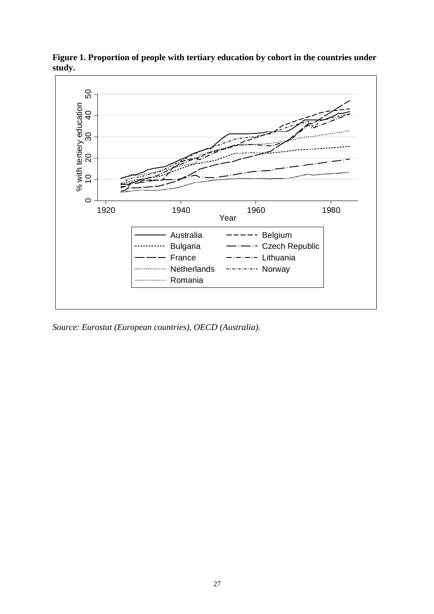

**Figure 1. Proportion of people with tertiary education by cohort in the countries under study.** 

*Source: Eurostat (European countries), OECD (Australia).*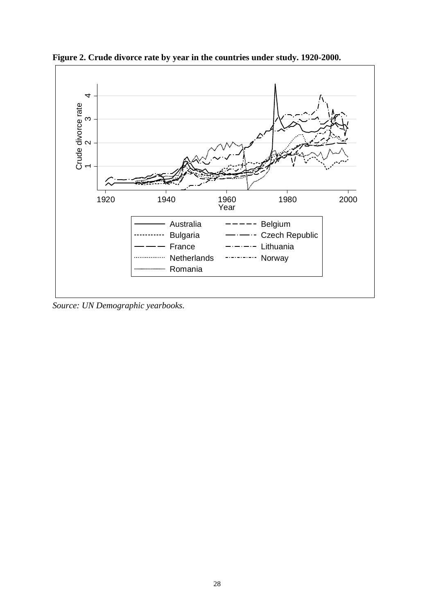

**Figure 2. Crude divorce rate by year in the countries under study. 1920-2000.**

*Source: UN Demographic yearbooks.*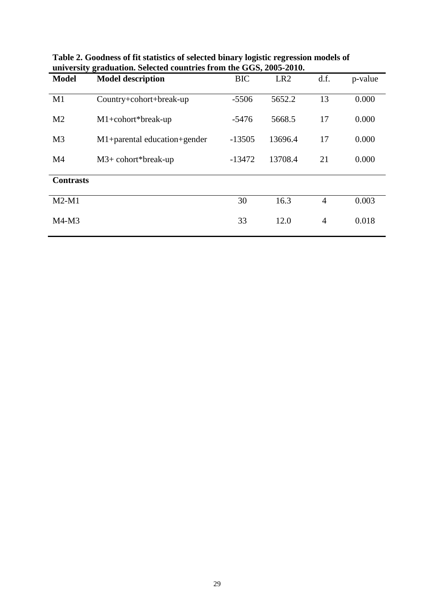| <b>Model</b>     | <b>Model description</b>       | <b>BIC</b> | LR <sub>2</sub> | d.f.           | p-value |
|------------------|--------------------------------|------------|-----------------|----------------|---------|
|                  |                                |            |                 |                |         |
| M1               | Country+cohort+break-up        | $-5506$    | 5652.2          | 13             | 0.000   |
| M <sub>2</sub>   | $M1+cohort*break-up$           | $-5476$    | 5668.5          | 17             | 0.000   |
|                  |                                |            |                 |                |         |
| M <sub>3</sub>   | $M1+parallel$ education+gender | $-13505$   | 13696.4         | 17             | 0.000   |
| M <sub>4</sub>   | $M3+$ cohort*break-up          | $-13472$   | 13708.4         | 21             | 0.000   |
|                  |                                |            |                 |                |         |
| <b>Contrasts</b> |                                |            |                 |                |         |
| $M2-M1$          |                                |            |                 |                |         |
|                  |                                | 30         | 16.3            | $\overline{4}$ | 0.003   |
| $M4-M3$          |                                | 33         | 12.0            | $\overline{4}$ | 0.018   |
|                  |                                |            |                 |                |         |

**Table 2. Goodness of fit statistics of selected binary logistic regression models of university graduation. Selected countries from the GGS, 2005-2010.**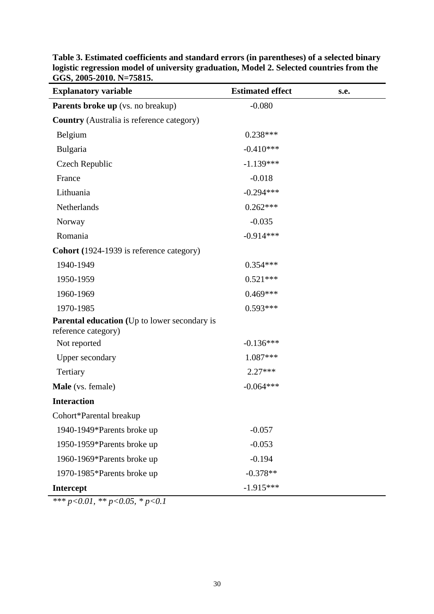| <b>Explanatory variable</b>                                                | <b>Estimated effect</b> | s.e. |
|----------------------------------------------------------------------------|-------------------------|------|
| Parents broke up (vs. no breakup)                                          | $-0.080$                |      |
| <b>Country</b> (Australia is reference category)                           |                         |      |
| Belgium                                                                    | $0.238***$              |      |
| Bulgaria                                                                   | $-0.410***$             |      |
| Czech Republic                                                             | $-1.139***$             |      |
| France                                                                     | $-0.018$                |      |
| Lithuania                                                                  | $-0.294***$             |      |
| Netherlands                                                                | $0.262***$              |      |
| Norway                                                                     | $-0.035$                |      |
| Romania                                                                    | $-0.914***$             |      |
| <b>Cohort</b> (1924-1939 is reference category)                            |                         |      |
| 1940-1949                                                                  | $0.354***$              |      |
| 1950-1959                                                                  | $0.521***$              |      |
| 1960-1969                                                                  | $0.469***$              |      |
| 1970-1985                                                                  | $0.593***$              |      |
| <b>Parental education</b> (Up to lower secondary is<br>reference category) |                         |      |
| Not reported                                                               | $-0.136***$             |      |
| <b>Upper secondary</b>                                                     | 1.087***                |      |
| Tertiary                                                                   | $2.27***$               |      |
| Male (vs. female)                                                          | $-0.064***$             |      |
| <b>Interaction</b>                                                         |                         |      |
| Cohort*Parental breakup                                                    |                         |      |
| 1940-1949*Parents broke up                                                 | $-0.057$                |      |
| 1950-1959*Parents broke up                                                 | $-0.053$                |      |
| 1960-1969*Parents broke up                                                 | $-0.194$                |      |
| 1970-1985*Parents broke up                                                 | $-0.378**$              |      |
| <b>Intercept</b>                                                           | $-1.915***$             |      |

**Table 3. Estimated coefficients and standard errors (in parentheses) of a selected binary logistic regression model of university graduation, Model 2. Selected countries from the GGS, 2005-2010. N=75815.** 

*\*\*\* p<0.01, \*\* p<0.05, \* p<0.1*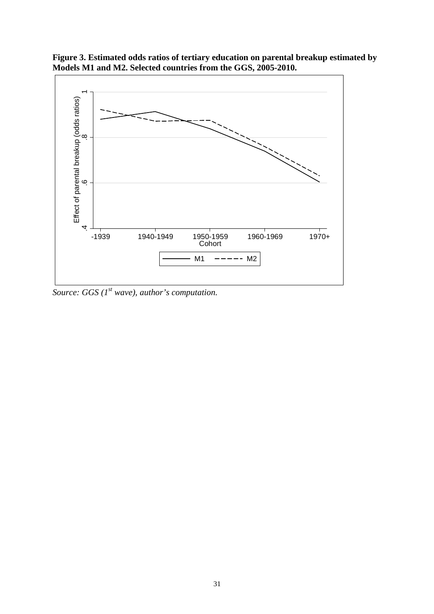

**Figure 3. Estimated odds ratios of tertiary education on parental breakup estimated by Models M1 and M2. Selected countries from the GGS, 2005-2010.** 

*Source: GGS (1st wave), author's computation.*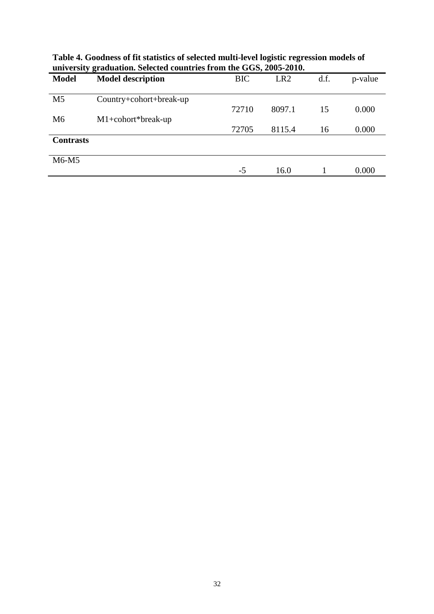| <b>Model</b>     | <b>Model description</b> | <b>BIC</b> | LR <sub>2</sub> | d.f. | p-value |
|------------------|--------------------------|------------|-----------------|------|---------|
| M <sub>5</sub>   | Country+cohort+break-up  | 72710      | 8097.1          | 15   | 0.000   |
| M <sub>6</sub>   | $M1+cohort*break-up$     |            |                 |      |         |
|                  |                          | 72705      | 8115.4          | 16   | 0.000   |
| <b>Contrasts</b> |                          |            |                 |      |         |
| $M6-M5$          |                          |            |                 |      |         |
|                  |                          | $-5$       | 16.0            |      | 0.000   |

**Table 4. Goodness of fit statistics of selected multi-level logistic regression models of university graduation. Selected countries from the GGS, 2005-2010.**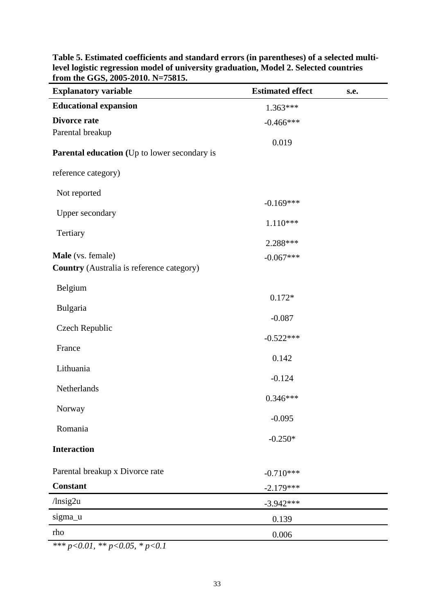| <b>Educational expansion</b><br>$1.363***$<br><b>Divorce rate</b><br>$-0.466***$<br>Parental breakup<br>0.019 |
|---------------------------------------------------------------------------------------------------------------|
|                                                                                                               |
|                                                                                                               |
|                                                                                                               |
| <b>Parental education</b> (Up to lower secondary is                                                           |
| reference category)                                                                                           |
| Not reported                                                                                                  |
| $-0.169***$<br>Upper secondary                                                                                |
| $1.110***$                                                                                                    |
| Tertiary<br>2.288***                                                                                          |
| Male (vs. female)<br>$-0.067***$                                                                              |
| Country (Australia is reference category)                                                                     |
| Belgium                                                                                                       |
| $0.172*$                                                                                                      |
| Bulgaria<br>$-0.087$                                                                                          |
| Czech Republic                                                                                                |
| $-0.522***$<br>France                                                                                         |
| 0.142                                                                                                         |
| Lithuania<br>$-0.124$                                                                                         |
| Netherlands                                                                                                   |
| $0.346***$<br>Norway                                                                                          |
| $-0.095$                                                                                                      |
| Romania<br>$-0.250*$                                                                                          |
| <b>Interaction</b>                                                                                            |
| Parental breakup x Divorce rate                                                                               |
| $-0.710***$<br><b>Constant</b><br>$-2.179***$                                                                 |
| $/$ lnsig2u<br>$-3.942***$                                                                                    |
| sigma_u<br>0.139                                                                                              |
| rho<br>0.006                                                                                                  |

**Table 5. Estimated coefficients and standard errors (in parentheses) of a selected multilevel logistic regression model of university graduation, Model 2. Selected countries from the GGS, 2005-2010. N=75815.** 

*\*\*\* p<0.01, \*\* p<0.05, \* p<0.1*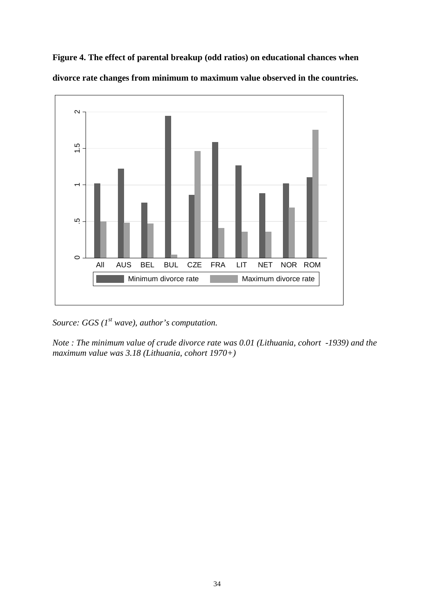**Figure 4. The effect of parental breakup (odd ratios) on educational chances when divorce rate changes from minimum to maximum value observed in the countries.** 



*Source: GGS (1st wave), author's computation.* 

*Note : The minimum value of crude divorce rate was 0.01 (Lithuania, cohort -1939) and the maximum value was 3.18 (Lithuania, cohort 1970+)*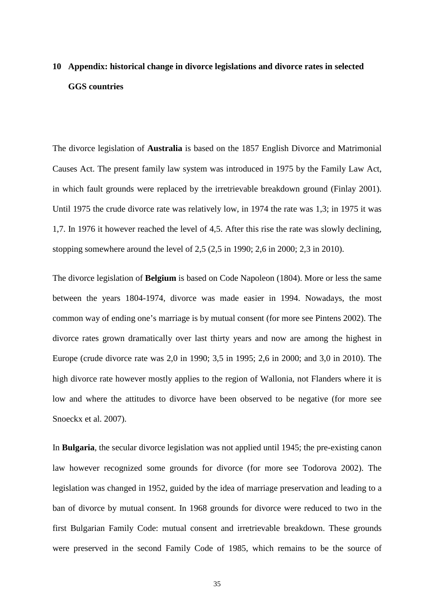# **10 Appendix: historical change in divorce legislations and divorce rates in selected GGS countries**

The divorce legislation of **Australia** is based on the 1857 English Divorce and Matrimonial Causes Act. The present family law system was introduced in 1975 by the Family Law Act, in which fault grounds were replaced by the irretrievable breakdown ground (Finlay 2001). Until 1975 the crude divorce rate was relatively low, in 1974 the rate was 1,3; in 1975 it was 1,7. In 1976 it however reached the level of 4,5. After this rise the rate was slowly declining, stopping somewhere around the level of 2,5 (2,5 in 1990; 2,6 in 2000; 2,3 in 2010).

The divorce legislation of **Belgium** is based on Code Napoleon (1804). More or less the same between the years 1804-1974, divorce was made easier in 1994. Nowadays, the most common way of ending one's marriage is by mutual consent (for more see Pintens 2002). The divorce rates grown dramatically over last thirty years and now are among the highest in Europe (crude divorce rate was 2,0 in 1990; 3,5 in 1995; 2,6 in 2000; and 3,0 in 2010). The high divorce rate however mostly applies to the region of Wallonia, not Flanders where it is low and where the attitudes to divorce have been observed to be negative (for more see Snoeckx et al. 2007).

In **Bulgaria**, the secular divorce legislation was not applied until 1945; the pre-existing canon law however recognized some grounds for divorce (for more see Todorova 2002). The legislation was changed in 1952, guided by the idea of marriage preservation and leading to a ban of divorce by mutual consent. In 1968 grounds for divorce were reduced to two in the first Bulgarian Family Code: mutual consent and irretrievable breakdown. These grounds were preserved in the second Family Code of 1985, which remains to be the source of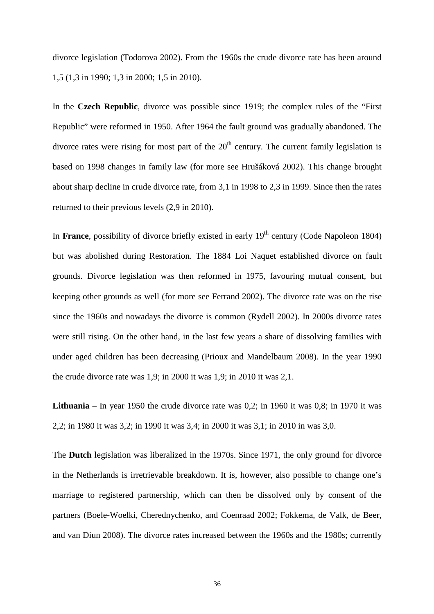divorce legislation (Todorova 2002). From the 1960s the crude divorce rate has been around 1,5 (1,3 in 1990; 1,3 in 2000; 1,5 in 2010).

In the **Czech Republic**, divorce was possible since 1919; the complex rules of the "First Republic" were reformed in 1950. After 1964 the fault ground was gradually abandoned. The divorce rates were rising for most part of the  $20<sup>th</sup>$  century. The current family legislation is based on 1998 changes in family law (for more see Hrušáková 2002). This change brought about sharp decline in crude divorce rate, from 3,1 in 1998 to 2,3 in 1999. Since then the rates returned to their previous levels (2,9 in 2010).

In France, possibility of divorce briefly existed in early 19<sup>th</sup> century (Code Napoleon 1804) but was abolished during Restoration. The 1884 Loi Naquet established divorce on fault grounds. Divorce legislation was then reformed in 1975, favouring mutual consent, but keeping other grounds as well (for more see Ferrand 2002). The divorce rate was on the rise since the 1960s and nowadays the divorce is common (Rydell 2002). In 2000s divorce rates were still rising. On the other hand, in the last few years a share of dissolving families with under aged children has been decreasing (Prioux and Mandelbaum 2008). In the year 1990 the crude divorce rate was 1,9; in 2000 it was 1,9; in 2010 it was 2,1.

**Lithuania** – In year 1950 the crude divorce rate was 0,2; in 1960 it was 0,8; in 1970 it was 2,2; in 1980 it was 3,2; in 1990 it was 3,4; in 2000 it was 3,1; in 2010 in was 3,0.

The **Dutch** legislation was liberalized in the 1970s. Since 1971, the only ground for divorce in the Netherlands is irretrievable breakdown. It is, however, also possible to change one's marriage to registered partnership, which can then be dissolved only by consent of the partners (Boele-Woelki, Cherednychenko, and Coenraad 2002; Fokkema, de Valk, de Beer, and van Diun 2008). The divorce rates increased between the 1960s and the 1980s; currently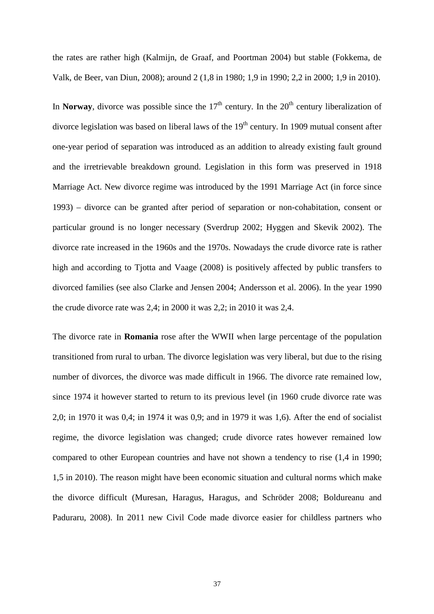the rates are rather high (Kalmijn, de Graaf, and Poortman 2004) but stable (Fokkema, de Valk, de Beer, van Diun, 2008); around 2 (1,8 in 1980; 1,9 in 1990; 2,2 in 2000; 1,9 in 2010).

In **Norway**, divorce was possible since the  $17<sup>th</sup>$  century. In the  $20<sup>th</sup>$  century liberalization of divorce legislation was based on liberal laws of the  $19<sup>th</sup>$  century. In 1909 mutual consent after one-year period of separation was introduced as an addition to already existing fault ground and the irretrievable breakdown ground. Legislation in this form was preserved in 1918 Marriage Act. New divorce regime was introduced by the 1991 Marriage Act (in force since 1993) – divorce can be granted after period of separation or non-cohabitation, consent or particular ground is no longer necessary (Sverdrup 2002; Hyggen and Skevik 2002). The divorce rate increased in the 1960s and the 1970s. Nowadays the crude divorce rate is rather high and according to Tjotta and Vaage (2008) is positively affected by public transfers to divorced families (see also Clarke and Jensen 2004; Andersson et al. 2006). In the year 1990 the crude divorce rate was 2,4; in 2000 it was 2,2; in 2010 it was 2,4.

The divorce rate in **Romania** rose after the WWII when large percentage of the population transitioned from rural to urban. The divorce legislation was very liberal, but due to the rising number of divorces, the divorce was made difficult in 1966. The divorce rate remained low, since 1974 it however started to return to its previous level (in 1960 crude divorce rate was 2,0; in 1970 it was 0,4; in 1974 it was 0,9; and in 1979 it was 1,6). After the end of socialist regime, the divorce legislation was changed; crude divorce rates however remained low compared to other European countries and have not shown a tendency to rise (1,4 in 1990; 1,5 in 2010). The reason might have been economic situation and cultural norms which make the divorce difficult (Muresan, Haragus, Haragus, and Schröder 2008; Boldureanu and Paduraru, 2008). In 2011 new Civil Code made divorce easier for childless partners who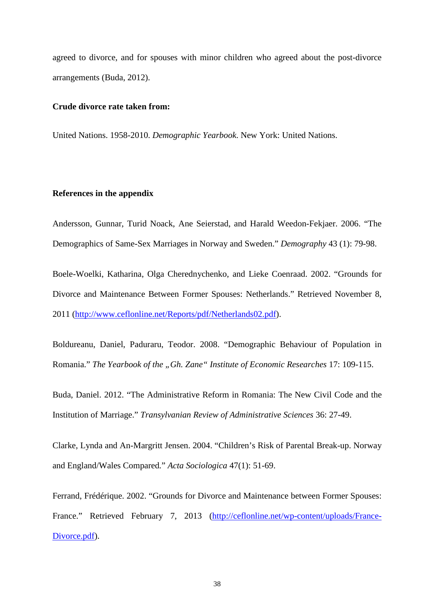agreed to divorce, and for spouses with minor children who agreed about the post-divorce arrangements (Buda, 2012).

#### **Crude divorce rate taken from:**

United Nations. 1958-2010. *Demographic Yearbook*. New York: United Nations.

#### **References in the appendix**

Andersson, Gunnar, Turid Noack, Ane Seierstad, and Harald Weedon-Fekjaer. 2006. "The Demographics of Same-Sex Marriages in Norway and Sweden." *Demography* 43 (1): 79-98.

Boele-Woelki, Katharina, Olga Cherednychenko, and Lieke Coenraad. 2002. "Grounds for Divorce and Maintenance Between Former Spouses: Netherlands." Retrieved November 8, 2011 (http://www.ceflonline.net/Reports/pdf/Netherlands02.pdf).

Boldureanu, Daniel, Paduraru, Teodor. 2008. "Demographic Behaviour of Population in Romania." *The Yearbook of the "Gh. Zane" Institute of Economic Researches* 17: 109-115.

Buda, Daniel. 2012. "The Administrative Reform in Romania: The New Civil Code and the Institution of Marriage." *Transylvanian Review of Administrative Sciences* 36: 27-49.

Clarke, Lynda and An-Margritt Jensen. 2004. "Children's Risk of Parental Break-up. Norway and England/Wales Compared*.*" *Acta Sociologica* 47(1): 51-69.

Ferrand, Frédérique. 2002. "Grounds for Divorce and Maintenance between Former Spouses: France." Retrieved February 7, 2013 (http://ceflonline.net/wp-content/uploads/France-Divorce.pdf).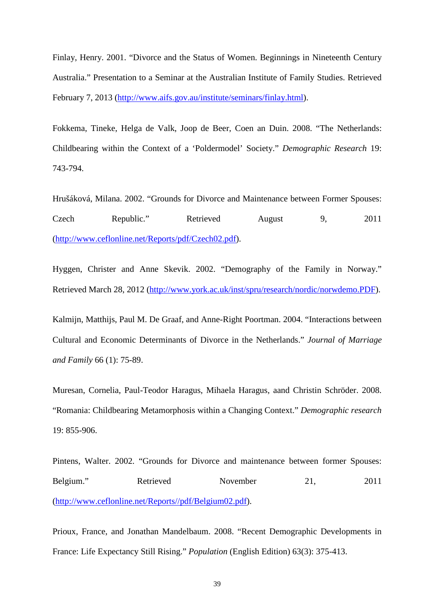Finlay, Henry. 2001. "Divorce and the Status of Women. Beginnings in Nineteenth Century Australia." Presentation to a Seminar at the Australian Institute of Family Studies. Retrieved February 7, 2013 (http://www.aifs.gov.au/institute/seminars/finlay.html).

Fokkema, Tineke, Helga de Valk, Joop de Beer, Coen an Duin. 2008. "The Netherlands: Childbearing within the Context of a 'Poldermodel' Society." *Demographic Research* 19: 743-794.

Hrušáková, Milana. 2002. "Grounds for Divorce and Maintenance between Former Spouses: Czech Republic." Retrieved August 9, 2011 (http://www.ceflonline.net/Reports/pdf/Czech02.pdf).

Hyggen, Christer and Anne Skevik. 2002. "Demography of the Family in Norway." Retrieved March 28, 2012 (http://www.york.ac.uk/inst/spru/research/nordic/norwdemo.PDF).

Kalmijn, Matthijs, Paul M. De Graaf, and Anne-Right Poortman. 2004. "Interactions between Cultural and Economic Determinants of Divorce in the Netherlands." *Journal of Marriage and Family* 66 (1): 75-89.

Muresan, Cornelia, Paul-Teodor Haragus, Mihaela Haragus, aand Christin Schröder. 2008. "Romania: Childbearing Metamorphosis within a Changing Context." *Demographic research* 19: 855-906.

Pintens, Walter. 2002. "Grounds for Divorce and maintenance between former Spouses: Belgium." Retrieved November 21, 2011 (http://www.ceflonline.net/Reports//pdf/Belgium02.pdf).

Prioux, France, and Jonathan Mandelbaum. 2008. "Recent Demographic Developments in France: Life Expectancy Still Rising." *Population* (English Edition) 63(3): 375-413.